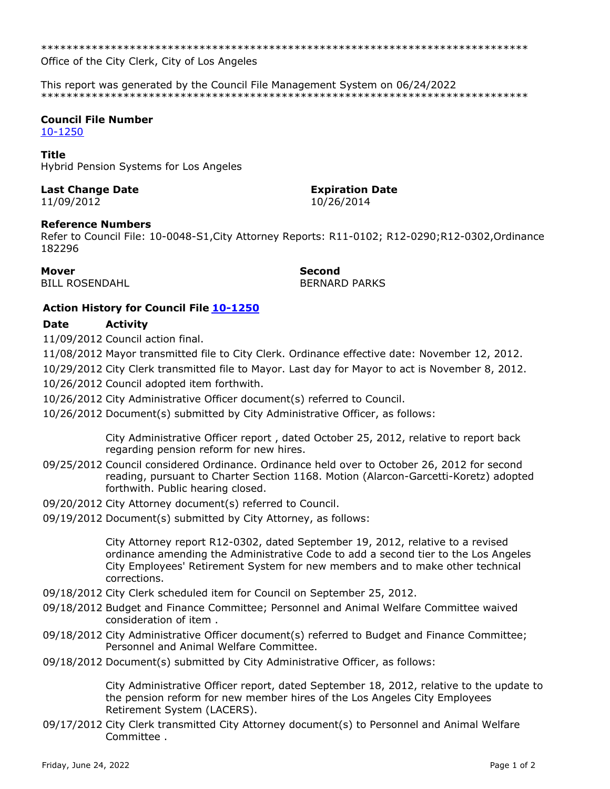\*\*\*\*\*\*\*\*\*\*\*\*\*\*\*\*\*\*\*\*\*\*\*\*\*\*\*\*\*\*\*\*\*\*\*\*\*\*\*\*\*\*\*\*\*\*\*\*\*\*\*\*\*\*\*\*\*\*\*\*\*\*\*\*\*\*\*\*\*\*\*\*\*\*\*\*\*

Office of the City Clerk, City of Los Angeles

This report was generated by the Council File Management System on 06/24/2022 \*\*\*\*\*\*\*\*\*\*\*\*\*\*\*\*\*\*\*\*\*\*\*\*\*\*\*\*\*\*\*\*\*\*\*\*\*\*\*\*\*\*\*\*\*\*\*\*\*\*\*\*\*\*\*\*\*\*\*\*\*\*\*\*\*\*\*\*\*\*\*\*\*\*\*\*\*

# **Council File Number**

[10-1250](https://cityclerk.lacity.org/lacityclerkconnect/index.cfm?fa=ccfi.viewrecord&cfnumber=10-1250)

### **Title**

Hybrid Pension Systems for Los Angeles

## **Last Change Date Expiration Date**

11/09/2012 10/26/2014

**Reference Numbers**

Refer to Council File: 10-0048-S1,City Attorney Reports: R11-0102; R12-0290;R12-0302,Ordinance 182296

BILL ROSENDAHL BILL BERNARD PARKS

**Mover Second**

### **Action History for Council File [10-1250](https://cityclerk.lacity.org/lacityclerkconnect/index.cfm?fa=ccfi.viewrecord&cfnumber=10-1250)**

### **Date Activity**

11/09/2012 Council action final.

11/08/2012 Mayor transmitted file to City Clerk. Ordinance effective date: November 12, 2012.

10/29/2012 City Clerk transmitted file to Mayor. Last day for Mayor to act is November 8, 2012.

10/26/2012 Council adopted item forthwith.

10/26/2012 City Administrative Officer document(s) referred to Council.

10/26/2012 Document(s) submitted by City Administrative Officer, as follows:

City Administrative Officer report , dated October 25, 2012, relative to report back regarding pension reform for new hires.

- 09/25/2012 Council considered Ordinance. Ordinance held over to October 26, 2012 for second reading, pursuant to Charter Section 1168. Motion (Alarcon-Garcetti-Koretz) adopted forthwith. Public hearing closed.
- 09/20/2012 City Attorney document(s) referred to Council.
- 09/19/2012 Document(s) submitted by City Attorney, as follows:

City Attorney report R12-0302, dated September 19, 2012, relative to a revised ordinance amending the Administrative Code to add a second tier to the Los Angeles City Employees' Retirement System for new members and to make other technical corrections.

- 09/18/2012 City Clerk scheduled item for Council on September 25, 2012.
- 09/18/2012 Budget and Finance Committee; Personnel and Animal Welfare Committee waived consideration of item .
- 09/18/2012 City Administrative Officer document(s) referred to Budget and Finance Committee; Personnel and Animal Welfare Committee.
- 09/18/2012 Document(s) submitted by City Administrative Officer, as follows:

City Administrative Officer report, dated September 18, 2012, relative to the update to the pension reform for new member hires of the Los Angeles City Employees Retirement System (LACERS).

09/17/2012 City Clerk transmitted City Attorney document(s) to Personnel and Animal Welfare Committee .